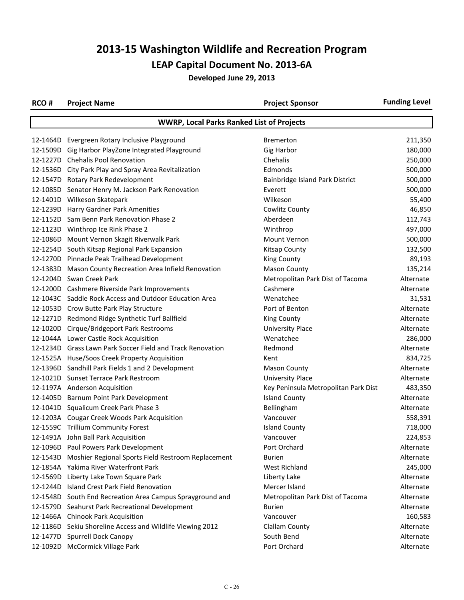| RCO# | <b>Project Name</b>                                         | <b>Project Sponsor</b>               | <b>Funding Level</b> |  |  |
|------|-------------------------------------------------------------|--------------------------------------|----------------------|--|--|
|      | <b>WWRP, Local Parks Ranked List of Projects</b>            |                                      |                      |  |  |
|      | 12-1464D Evergreen Rotary Inclusive Playground              | <b>Bremerton</b>                     | 211,350              |  |  |
|      | 12-1509D Gig Harbor PlayZone Integrated Playground          | <b>Gig Harbor</b>                    | 180,000              |  |  |
|      | 12-1227D Chehalis Pool Renovation                           | Chehalis                             | 250,000              |  |  |
|      | 12-1536D City Park Play and Spray Area Revitalization       | Edmonds                              | 500,000              |  |  |
|      | 12-1547D Rotary Park Redevelopment                          | Bainbridge Island Park District      | 500,000              |  |  |
|      | 12-1085D Senator Henry M. Jackson Park Renovation           | Everett                              | 500,000              |  |  |
|      | 12-1401D Wilkeson Skatepark                                 | Wilkeson                             | 55,400               |  |  |
|      | 12-1239D Harry Gardner Park Amenities                       | Cowlitz County                       | 46,850               |  |  |
|      | 12-1152D Sam Benn Park Renovation Phase 2                   | Aberdeen                             | 112,743              |  |  |
|      | 12-1123D Winthrop Ice Rink Phase 2                          | Winthrop                             | 497,000              |  |  |
|      | 12-1086D Mount Vernon Skagit Riverwalk Park                 | Mount Vernon                         | 500,000              |  |  |
|      | 12-1254D South Kitsap Regional Park Expansion               | <b>Kitsap County</b>                 | 132,500              |  |  |
|      | 12-1270D Pinnacle Peak Trailhead Development                | <b>King County</b>                   | 89,193               |  |  |
|      | 12-1383D Mason County Recreation Area Infield Renovation    | <b>Mason County</b>                  | 135,214              |  |  |
|      | 12-1204D Swan Creek Park                                    | Metropolitan Park Dist of Tacoma     | Alternate            |  |  |
|      | 12-1200D Cashmere Riverside Park Improvements               | Cashmere                             | Alternate            |  |  |
|      | 12-1043C Saddle Rock Access and Outdoor Education Area      | Wenatchee                            | 31,531               |  |  |
|      | 12-1053D Crow Butte Park Play Structure                     | Port of Benton                       | Alternate            |  |  |
|      | 12-1271D Redmond Ridge Synthetic Turf Ballfield             | King County                          | Alternate            |  |  |
|      | 12-1020D Cirque/Bridgeport Park Restrooms                   | <b>University Place</b>              | Alternate            |  |  |
|      | 12-1044A Lower Castle Rock Acquisition                      | Wenatchee                            | 286,000              |  |  |
|      | 12-1234D Grass Lawn Park Soccer Field and Track Renovation  | Redmond                              | Alternate            |  |  |
|      | 12-1525A Huse/Soos Creek Property Acquisition               | Kent                                 | 834,725              |  |  |
|      | 12-1396D Sandhill Park Fields 1 and 2 Development           | <b>Mason County</b>                  | Alternate            |  |  |
|      | 12-1021D Sunset Terrace Park Restroom                       | <b>University Place</b>              | Alternate            |  |  |
|      | 12-1197A Anderson Acquisition                               | Key Peninsula Metropolitan Park Dist | 483,350              |  |  |
|      | 12-1405D Barnum Point Park Development                      | <b>Island County</b>                 | Alternate            |  |  |
|      | 12-1041D Squalicum Creek Park Phase 3                       | Bellingham                           | Alternate            |  |  |
|      | 12-1203A Cougar Creek Woods Park Acquisition                | Vancouver                            | 558,391              |  |  |
|      | 12-1559C Trillium Community Forest                          | <b>Island County</b>                 | 718,000              |  |  |
|      | 12-1491A John Ball Park Acquisition                         | Vancouver                            | 224,853              |  |  |
|      | 12-1096D Paul Powers Park Development                       | Port Orchard                         | Alternate            |  |  |
|      | 12-1543D Moshier Regional Sports Field Restroom Replacement | <b>Burien</b>                        | Alternate            |  |  |
|      | 12-1854A Yakima River Waterfront Park                       | West Richland                        | 245,000              |  |  |
|      | 12-1569D Liberty Lake Town Square Park                      | Liberty Lake                         | Alternate            |  |  |
|      | 12-1244D Island Crest Park Field Renovation                 | Mercer Island                        | Alternate            |  |  |
|      | 12-1548D South End Recreation Area Campus Sprayground and   | Metropolitan Park Dist of Tacoma     | Alternate            |  |  |
|      | 12-1579D Seahurst Park Recreational Development             | <b>Burien</b>                        | Alternate            |  |  |
|      | 12-1466A Chinook Park Acquisition                           | Vancouver                            | 160,583              |  |  |
|      | 12-1186D Sekiu Shoreline Access and Wildlife Viewing 2012   | Clallam County                       | Alternate            |  |  |
|      | 12-1477D Spurrell Dock Canopy                               | South Bend                           | Alternate            |  |  |
|      | 12-1092D McCormick Village Park                             | Port Orchard                         | Alternate            |  |  |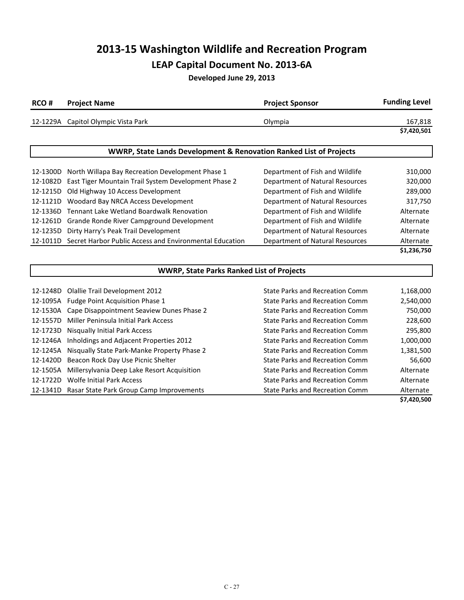| RCO# | <b>Project Name</b>                 | <b>Project Sponsor</b> | <b>Funding Level</b> |
|------|-------------------------------------|------------------------|----------------------|
|      | 12-1229A Capitol Olympic Vista Park | Olympia                | 167,818              |
|      |                                     |                        | \$7,420,501          |

| <b>WWRP, State Lands Development &amp; Renovation Ranked List of Projects</b> |                                                                  |                                        |             |
|-------------------------------------------------------------------------------|------------------------------------------------------------------|----------------------------------------|-------------|
|                                                                               |                                                                  |                                        |             |
|                                                                               | 12-1300D North Willapa Bay Recreation Development Phase 1        | Department of Fish and Wildlife        | 310,000     |
| 12-1082D                                                                      | East Tiger Mountain Trail System Development Phase 2             | Department of Natural Resources        | 320,000     |
| 12-1215D                                                                      | Old Highway 10 Access Development                                | Department of Fish and Wildlife        | 289,000     |
| 12-1121D                                                                      | Woodard Bay NRCA Access Development                              | Department of Natural Resources        | 317,750     |
|                                                                               | 12-1336D Tennant Lake Wetland Boardwalk Renovation               | Department of Fish and Wildlife        | Alternate   |
|                                                                               | 12-1261D Grande Ronde River Campground Development               | Department of Fish and Wildlife        | Alternate   |
| 12-1235D                                                                      | Dirty Harry's Peak Trail Development                             | <b>Department of Natural Resources</b> | Alternate   |
|                                                                               | 12-1011D Secret Harbor Public Access and Environmental Education | Department of Natural Resources        | Alternate   |
|                                                                               |                                                                  |                                        | \$1,236,750 |

|          | <b>WWRP, State Parks Ranked List of Projects</b> |                                 |             |  |
|----------|--------------------------------------------------|---------------------------------|-------------|--|
| 12-1248D | Olallie Trail Development 2012                   | State Parks and Recreation Comm | 1,168,000   |  |
| 12-1095A | Fudge Point Acquisition Phase 1                  | State Parks and Recreation Comm | 2,540,000   |  |
| 12-1530A | Cape Disappointment Seaview Dunes Phase 2        | State Parks and Recreation Comm | 750,000     |  |
| 12-1557D | Miller Peninsula Initial Park Access             | State Parks and Recreation Comm | 228,600     |  |
| 12-1723D | <b>Nisqually Initial Park Access</b>             | State Parks and Recreation Comm | 295,800     |  |
| 12-1246A | Inholdings and Adjacent Properties 2012          | State Parks and Recreation Comm | 1,000,000   |  |
| 12-1245A | Nisqually State Park-Manke Property Phase 2      | State Parks and Recreation Comm | 1,381,500   |  |
| 12-1420D | Beacon Rock Day Use Picnic Shelter               | State Parks and Recreation Comm | 56,600      |  |
| 12-1505A | Millersylvania Deep Lake Resort Acquisition      | State Parks and Recreation Comm | Alternate   |  |
| 12-1722D | <b>Wolfe Initial Park Access</b>                 | State Parks and Recreation Comm | Alternate   |  |
| 12-1341D | Rasar State Park Group Camp Improvements         | State Parks and Recreation Comm | Alternate   |  |
|          |                                                  |                                 | \$7,420,500 |  |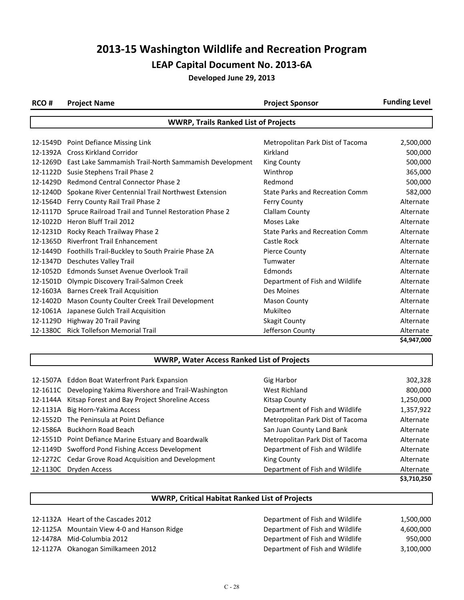**Developed June 29, 2013**

| RCO#                                        | <b>Project Name</b>                                            | <b>Project Sponsor</b>           | <b>Funding Level</b> |
|---------------------------------------------|----------------------------------------------------------------|----------------------------------|----------------------|
| <b>WWRP, Trails Ranked List of Projects</b> |                                                                |                                  |                      |
|                                             |                                                                |                                  |                      |
|                                             | 12-1549D Point Defiance Missing Link                           | Metropolitan Park Dist of Tacoma | 2,500,000            |
|                                             | 12-1392A Cross Kirkland Corridor                               | Kirkland                         | 500,000              |
|                                             | 12-1269D East Lake Sammamish Trail-North Sammamish Development | King County                      | 500,000              |
|                                             | 12-1122D Susie Stephens Trail Phase 2                          | Winthrop                         | 365,000              |
| 12-1429D                                    | <b>Redmond Central Connector Phase 2</b>                       | Redmond                          | 500,000              |
| 12-1240D                                    | Spokane River Centennial Trail Northwest Extension             | State Parks and Recreation Comm  | 582,000              |
| 12-1564D                                    | Ferry County Rail Trail Phase 2                                | <b>Ferry County</b>              | Alternate            |
| 12-1117D                                    | Spruce Railroad Trail and Tunnel Restoration Phase 2           | Clallam County                   | Alternate            |
| 12-1022D                                    | Heron Bluff Trail 2012                                         | Moses Lake                       | Alternate            |
| 12-1231D                                    | Rocky Reach Trailway Phase 2                                   | State Parks and Recreation Comm  | Alternate            |
| 12-1365D                                    | <b>Riverfront Trail Enhancement</b>                            | Castle Rock                      | Alternate            |
| 12-1449D                                    | Foothills Trail-Buckley to South Prairie Phase 2A              | <b>Pierce County</b>             | Alternate            |
| 12-1347D                                    | Deschutes Valley Trail                                         | Tumwater                         | Alternate            |
| 12-1052D                                    | Edmonds Sunset Avenue Overlook Trail                           | Edmonds                          | Alternate            |
| 12-1501D                                    | Olympic Discovery Trail-Salmon Creek                           | Department of Fish and Wildlife  | Alternate            |
| 12-1603A                                    | <b>Barnes Creek Trail Acquisition</b>                          | Des Moines                       | Alternate            |
| 12-1402D                                    | Mason County Coulter Creek Trail Development                   | <b>Mason County</b>              | Alternate            |
| 12-1061A                                    | Japanese Gulch Trail Acquisition                               | Mukilteo                         | Alternate            |
| 12-1129D                                    | Highway 20 Trail Paving                                        | <b>Skagit County</b>             | Alternate            |
| 12-1380C                                    | <b>Rick Tollefson Memorial Trail</b>                           | Jefferson County                 | Alternate            |
|                                             |                                                                |                                  | \$4,947,000          |

#### **WWRP, Water Access Ranked List of Projects**

|          |                                                            |                                  | \$3,710,250 |
|----------|------------------------------------------------------------|----------------------------------|-------------|
|          | 12-1130C Dryden Access                                     | Department of Fish and Wildlife  | Alternate   |
|          | 12-1272C Cedar Grove Road Acquisition and Development      | King County                      | Alternate   |
|          | 12-1149D Swofford Pond Fishing Access Development          | Department of Fish and Wildlife  | Alternate   |
|          | 12-1551D Point Defiance Marine Estuary and Boardwalk       | Metropolitan Park Dist of Tacoma | Alternate   |
|          | 12-1586A Buckhorn Road Beach                               | San Juan County Land Bank        | Alternate   |
|          | 12-1552D The Peninsula at Point Defiance                   | Metropolitan Park Dist of Tacoma | Alternate   |
| 12-1131A | Big Horn-Yakima Access                                     | Department of Fish and Wildlife  | 1,357,922   |
| 12-1144A | Kitsap Forest and Bay Project Shoreline Access             | Kitsap County                    | 1,250,000   |
|          | 12-1611C Developing Yakima Rivershore and Trail-Washington | West Richland                    | 800,000     |
|          | 12-1507A Eddon Boat Waterfront Park Expansion              | Gig Harbor                       | 302,328     |
|          |                                                            |                                  |             |

| <b>WWRP, Critical Habitat Ranked List of Projects</b> |
|-------------------------------------------------------|
|                                                       |

| 12-1132A Heart of the Cascades 2012         | Department of Fish and Wildlife | 1,500,000 |
|---------------------------------------------|---------------------------------|-----------|
| 12-1125A Mountain View 4-0 and Hanson Ridge | Department of Fish and Wildlife | 4.600.000 |
| 12-1478A Mid-Columbia 2012                  | Department of Fish and Wildlife | 950,000   |
| 12-1127A Okanogan Similkameen 2012          | Department of Fish and Wildlife | 3.100.000 |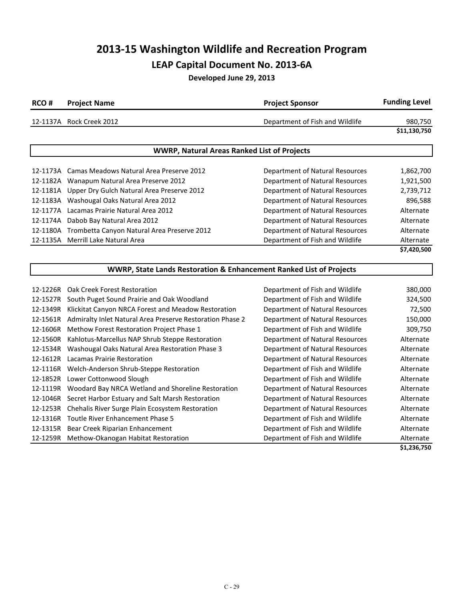**Developed June 29, 2013**

| RCO#     | <b>Project Name</b>                                                 | <b>Project Sponsor</b>                 | <b>Funding Level</b> |
|----------|---------------------------------------------------------------------|----------------------------------------|----------------------|
|          | 12-1137A Rock Creek 2012                                            | Department of Fish and Wildlife        | 980,750              |
|          |                                                                     |                                        | \$11,130,750         |
|          | <b>WWRP, Natural Areas Ranked List of Projects</b>                  |                                        |                      |
|          | 12-1173A Camas Meadows Natural Area Preserve 2012                   | Department of Natural Resources        | 1,862,700            |
|          | 12-1182A Wanapum Natural Area Preserve 2012                         | <b>Department of Natural Resources</b> | 1,921,500            |
|          | 12-1181A Upper Dry Gulch Natural Area Preserve 2012                 | Department of Natural Resources        | 2,739,712            |
|          | 12-1183A Washougal Oaks Natural Area 2012                           | Department of Natural Resources        | 896,588              |
|          | 12-1177A Lacamas Prairie Natural Area 2012                          | Department of Natural Resources        | Alternate            |
|          | 12-1174A Dabob Bay Natural Area 2012                                | <b>Department of Natural Resources</b> | Alternate            |
|          | 12-1180A Trombetta Canyon Natural Area Preserve 2012                | <b>Department of Natural Resources</b> | Alternate            |
|          | 12-1135A Merrill Lake Natural Area                                  | Department of Fish and Wildlife        | Alternate            |
|          |                                                                     |                                        | \$7,420,500          |
|          | WWRP, State Lands Restoration & Enhancement Ranked List of Projects |                                        |                      |
|          |                                                                     |                                        |                      |
|          | 12-1226R Oak Creek Forest Restoration                               | Department of Fish and Wildlife        | 380,000              |
|          | 12-1527R South Puget Sound Prairie and Oak Woodland                 | Department of Fish and Wildlife        | 324,500              |
|          | 12-1349R Klickitat Canyon NRCA Forest and Meadow Restoration        | Department of Natural Resources        | 72,500               |
|          | 12-1561R Admiralty Inlet Natural Area Preserve Restoration Phase 2  | Department of Natural Resources        | 150,000              |
|          | 12-1606R Methow Forest Restoration Project Phase 1                  | Department of Fish and Wildlife        | 309,750              |
|          | 12-1560R Kahlotus-Marcellus NAP Shrub Steppe Restoration            | Department of Natural Resources        | Alternate            |
| 12-1534R | Washougal Oaks Natural Area Restoration Phase 3                     | Department of Natural Resources        | Alternate            |
|          | 12-1612R Lacamas Prairie Restoration                                | Department of Natural Resources        | Alternate            |
|          | 12-1116R Welch-Anderson Shrub-Steppe Restoration                    | Department of Fish and Wildlife        | Alternate            |
|          | 12-1852R Lower Cottonwood Slough                                    | Department of Fish and Wildlife        | Alternate            |
|          | 12-1119R Woodard Bay NRCA Wetland and Shoreline Restoration         | Department of Natural Resources        | Alternate            |
|          | 12-1046R Secret Harbor Estuary and Salt Marsh Restoration           | <b>Department of Natural Resources</b> | Alternate            |
|          | 12-1253R Chehalis River Surge Plain Ecosystem Restoration           | Department of Natural Resources        | Alternate            |
|          | 12-1316R Toutle River Enhancement Phase 5                           | Department of Fish and Wildlife        | Alternate            |

12-1315R Bear Creek Riparian Enhancement **Department of Fish and Wildlife** Alternate 12-1259R Methow-Okanogan Habitat Restoration Department of Fish and Wildlife Alternate

**\$1,236,750**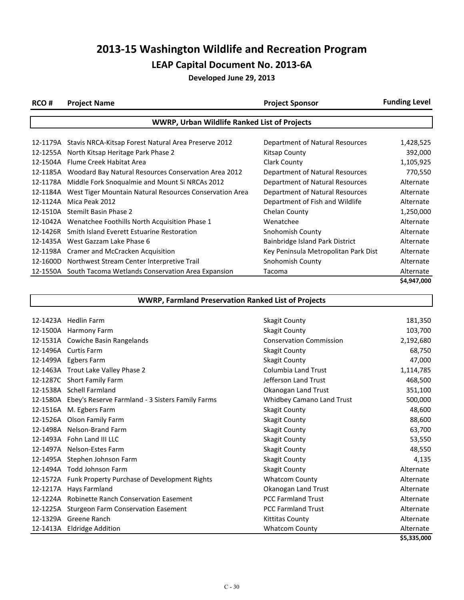| RCO#     | <b>Project Name</b>                                     | <b>Project Sponsor</b>               | <b>Funding Level</b> |
|----------|---------------------------------------------------------|--------------------------------------|----------------------|
|          | <b>WWRP, Urban Wildlife Ranked List of Projects</b>     |                                      |                      |
|          |                                                         |                                      |                      |
| 12-1179A | Stavis NRCA-Kitsap Forest Natural Area Preserve 2012    | Department of Natural Resources      | 1,428,525            |
| 12-1255A | North Kitsap Heritage Park Phase 2                      | Kitsap County                        | 392,000              |
| 12-1504A | Flume Creek Habitat Area                                | Clark County                         | 1,105,925            |
| 12-1185A | Woodard Bay Natural Resources Conservation Area 2012    | Department of Natural Resources      | 770,550              |
| 12-1178A | Middle Fork Snoqualmie and Mount Si NRCAs 2012          | Department of Natural Resources      | Alternate            |
| 12-1184A | West Tiger Mountain Natural Resources Conservation Area | Department of Natural Resources      | Alternate            |
| 12-1124A | Mica Peak 2012                                          | Department of Fish and Wildlife      | Alternate            |
| 12-1510A | Stemilt Basin Phase 2                                   | Chelan County                        | 1,250,000            |
| 12-1042A | Wenatchee Foothills North Acquisition Phase 1           | Wenatchee                            | Alternate            |
| 12-1426R | Smith Island Everett Estuarine Restoration              | Snohomish County                     | Alternate            |
| 12-1435A | West Gazzam Lake Phase 6                                | Bainbridge Island Park District      | Alternate            |
| 12-1198A | Cramer and McCracken Acquisition                        | Key Peninsula Metropolitan Park Dist | Alternate            |
| 12-1600D | Northwest Stream Center Interpretive Trail              | Snohomish County                     | Alternate            |
| 12-1550A | South Tacoma Wetlands Conservation Area Expansion       | Tacoma                               | Alternate            |
|          |                                                         |                                      | \$4,947,000          |

| <b>WWRP, Farmland Preservation Ranked List of Projects</b> |                                                           |                                |             |
|------------------------------------------------------------|-----------------------------------------------------------|--------------------------------|-------------|
|                                                            |                                                           |                                |             |
|                                                            | 12-1423A Hedlin Farm                                      | <b>Skagit County</b>           | 181,350     |
| 12-1500A                                                   | Harmony Farm                                              | <b>Skagit County</b>           | 103,700     |
|                                                            | 12-1531A Cowiche Basin Rangelands                         | <b>Conservation Commission</b> | 2,192,680   |
| 12-1496A                                                   | <b>Curtis Farm</b>                                        | <b>Skagit County</b>           | 68,750      |
| 12-1499A                                                   | Egbers Farm                                               | <b>Skagit County</b>           | 47,000      |
|                                                            | 12-1463A Trout Lake Valley Phase 2                        | <b>Columbia Land Trust</b>     | 1,114,785   |
| 12-1287C                                                   | Short Family Farm                                         | Jefferson Land Trust           | 468,500     |
|                                                            | 12-1538A Schell Farmland                                  | Okanogan Land Trust            | 351,100     |
|                                                            | 12-1580A Ebey's Reserve Farmland - 3 Sisters Family Farms | Whidbey Camano Land Trust      | 500,000     |
| 12-1516A                                                   | M. Egbers Farm                                            | <b>Skagit County</b>           | 48,600      |
| 12-1526A                                                   | Olson Family Farm                                         | <b>Skagit County</b>           | 88,600      |
| 12-1498A                                                   | Nelson-Brand Farm                                         | <b>Skagit County</b>           | 63,700      |
|                                                            | 12-1493A Fohn Land III LLC                                | <b>Skagit County</b>           | 53,550      |
| 12-1497A                                                   | <b>Nelson-Estes Farm</b>                                  | Skagit County                  | 48,550      |
| 12-1495A                                                   | Stephen Johnson Farm                                      | Skagit County                  | 4,135       |
| 12-1494A                                                   | <b>Todd Johnson Farm</b>                                  | <b>Skagit County</b>           | Alternate   |
|                                                            | 12-1572A Funk Property Purchase of Development Rights     | <b>Whatcom County</b>          | Alternate   |
| 12-1217A                                                   | Hays Farmland                                             | Okanogan Land Trust            | Alternate   |
| 12-1224A                                                   | <b>Robinette Ranch Conservation Easement</b>              | <b>PCC Farmland Trust</b>      | Alternate   |
|                                                            | 12-1225A Sturgeon Farm Conservation Easement              | <b>PCC Farmland Trust</b>      | Alternate   |
| 12-1329A                                                   | Greene Ranch                                              | Kittitas County                | Alternate   |
| 12-1413A                                                   | <b>Eldridge Addition</b>                                  | <b>Whatcom County</b>          | Alternate   |
|                                                            |                                                           |                                | \$5,335,000 |